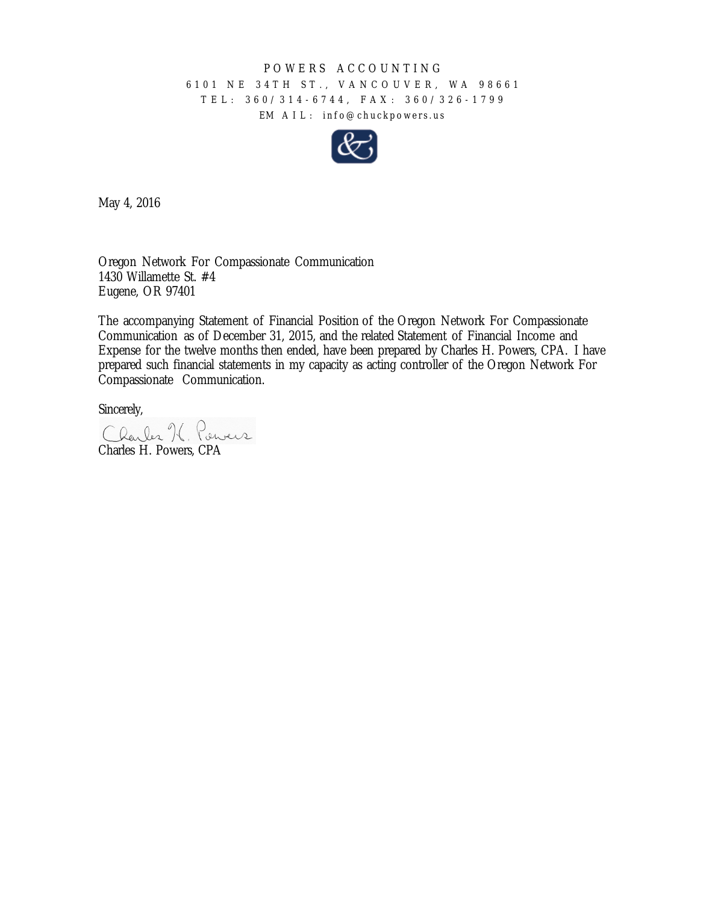## POWERS ACCOUNTING

## 6101 NE 34TH ST., VANCOUVER, WA 98661 TEL: 360/314 - 6744, FAX: 360/326 - 1799 EM AIL: info@chuckpowers.us



May 4, 2016

Oregon Network For Compassionate Communication 1430 Willamette St. #4 Eugene, OR 97401

The accompanying Statement of Financial Position of the Oregon Network For Compassionate Communication as of December 31, 2015, and the related Statement of Financial Income and Expense for the twelve months then ended, have been prepared by Charles H. Powers, CPA. I have prepared such financial statements in my capacity as acting controller of the Oregon Network For Compassionate Communication.

Sincerely,

Charles K. Pervers Charles H. Powers, CPA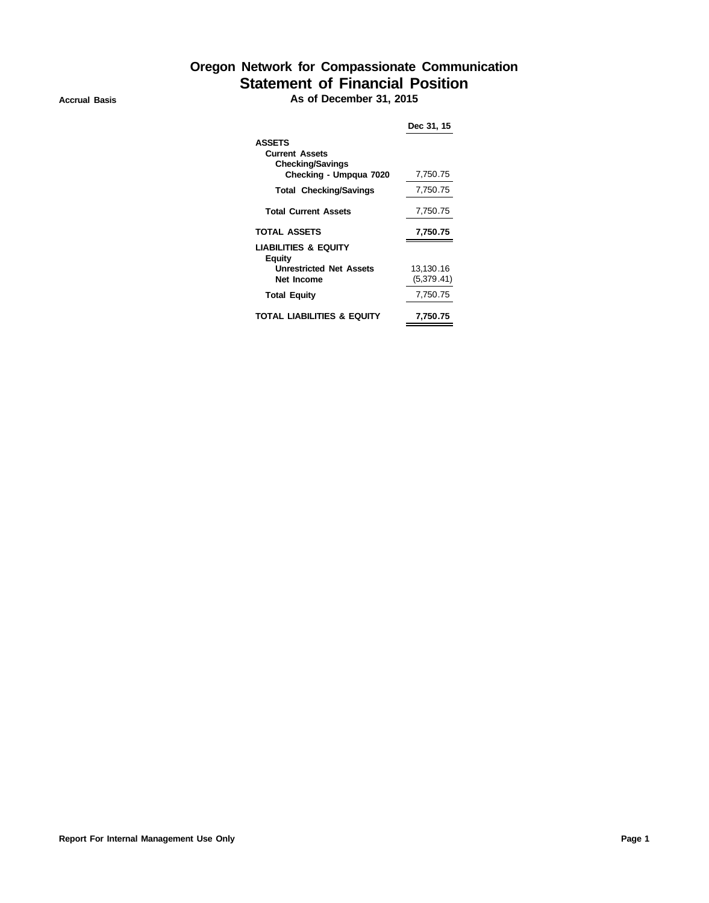## **Oregon Network for Compassionate Communication Statement of Financial Position Accrual Basis As of December 31, 2015**

|                                                                                             | Dec 31, 15              |
|---------------------------------------------------------------------------------------------|-------------------------|
| <b>ASSETS</b><br><b>Current Assets</b><br><b>Checking/Savings</b><br>Checking - Umpqua 7020 | 7,750.75                |
| <b>Total Checking/Savings</b>                                                               | 7,750.75                |
| <b>Total Current Assets</b>                                                                 | 7,750.75                |
| <b>TOTAL ASSETS</b>                                                                         | 7,750.75                |
| <b>LIABILITIES &amp; EQUITY</b><br>Equity<br><b>Unrestricted Net Assets</b><br>Net Income   | 13,130.16<br>(5.379.41) |
| <b>Total Equity</b>                                                                         | 7,750.75                |
| TOTAL LIABILITIES & EQUITY                                                                  | 7.750.75                |